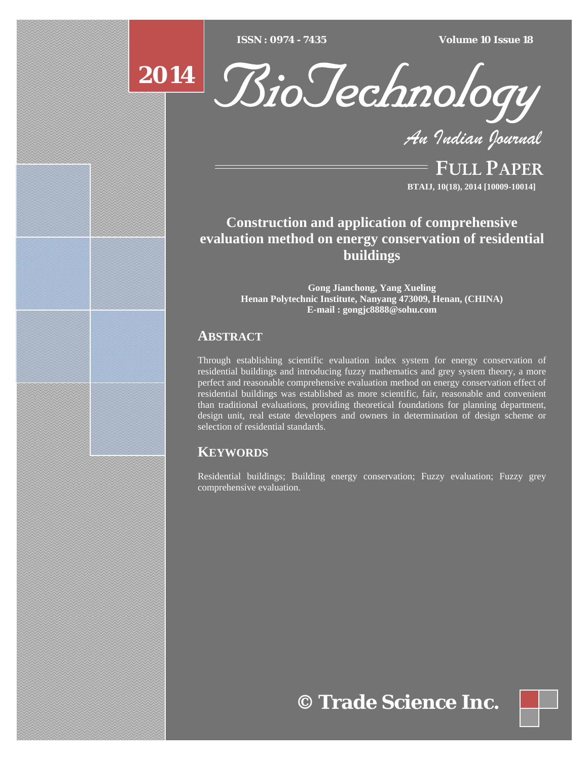$\overline{ISSN} : 0974 - 7435$ 

*ISSN : 0974 - 7435 Volume 10 Issue 18*

# **2014**



*An Indian Journal*

FULL PAPER **BTAIJ, 10(18), 2014 [10009-10014]**

## **Construction and application of comprehensive evaluation method on energy conservation of residential buildings**

**Gong Jianchong, Yang Xueling Henan Polytechnic Institute, Nanyang 473009, Henan, (CHINA) E-mail : gongjc8888@sohu.com**

## **ABSTRACT**

Through establishing scientific evaluation index system for energy conservation of residential buildings and introducing fuzzy mathematics and grey system theory, a more perfect and reasonable comprehensive evaluation method on energy conservation effect of residential buildings was established as more scientific, fair, reasonable and convenient than traditional evaluations, providing theoretical foundations for planning department, design unit, real estate developers and owners in determination of design scheme or selection of residential standards.

## **KEYWORDS**

Residential buildings; Building energy conservation; Fuzzy evaluation; Fuzzy grey comprehensive evaluation.

## **© Trade Science Inc.**

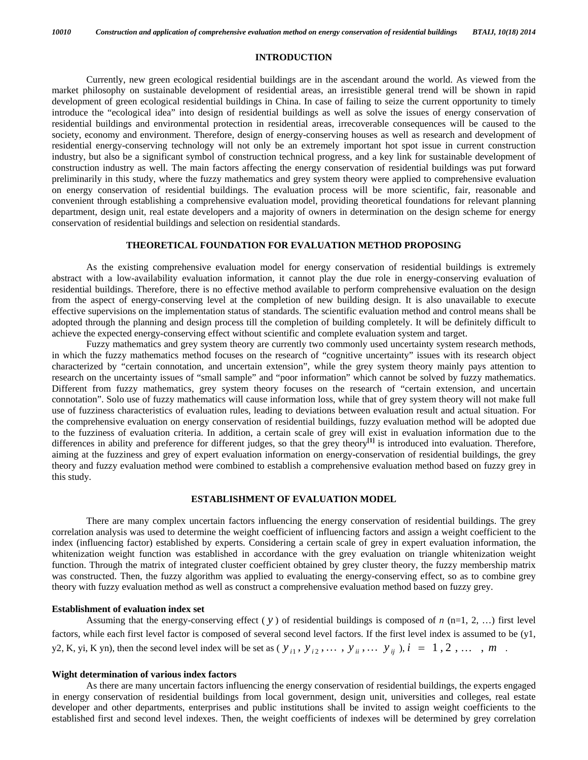#### **INTRODUCTION**

 Currently, new green ecological residential buildings are in the ascendant around the world. As viewed from the market philosophy on sustainable development of residential areas, an irresistible general trend will be shown in rapid development of green ecological residential buildings in China. In case of failing to seize the current opportunity to timely introduce the "ecological idea" into design of residential buildings as well as solve the issues of energy conservation of residential buildings and environmental protection in residential areas, irrecoverable consequences will be caused to the society, economy and environment. Therefore, design of energy-conserving houses as well as research and development of residential energy-conserving technology will not only be an extremely important hot spot issue in current construction industry, but also be a significant symbol of construction technical progress, and a key link for sustainable development of construction industry as well. The main factors affecting the energy conservation of residential buildings was put forward preliminarily in this study, where the fuzzy mathematics and grey system theory were applied to comprehensive evaluation on energy conservation of residential buildings. The evaluation process will be more scientific, fair, reasonable and convenient through establishing a comprehensive evaluation model, providing theoretical foundations for relevant planning department, design unit, real estate developers and a majority of owners in determination on the design scheme for energy conservation of residential buildings and selection on residential standards.

#### **THEORETICAL FOUNDATION FOR EVALUATION METHOD PROPOSING**

 As the existing comprehensive evaluation model for energy conservation of residential buildings is extremely abstract with a low-availability evaluation information, it cannot play the due role in energy-conserving evaluation of residential buildings. Therefore, there is no effective method available to perform comprehensive evaluation on the design from the aspect of energy-conserving level at the completion of new building design. It is also unavailable to execute effective supervisions on the implementation status of standards. The scientific evaluation method and control means shall be adopted through the planning and design process till the completion of building completely. It will be definitely difficult to achieve the expected energy-conserving effect without scientific and complete evaluation system and target.

 Fuzzy mathematics and grey system theory are currently two commonly used uncertainty system research methods, in which the fuzzy mathematics method focuses on the research of "cognitive uncertainty" issues with its research object characterized by "certain connotation, and uncertain extension", while the grey system theory mainly pays attention to research on the uncertainty issues of "small sample" and "poor information" which cannot be solved by fuzzy mathematics. Different from fuzzy mathematics, grey system theory focuses on the research of "certain extension, and uncertain connotation". Solo use of fuzzy mathematics will cause information loss, while that of grey system theory will not make full use of fuzziness characteristics of evaluation rules, leading to deviations between evaluation result and actual situation. For the comprehensive evaluation on energy conservation of residential buildings, fuzzy evaluation method will be adopted due to the fuzziness of evaluation criteria. In addition, a certain scale of grey will exist in evaluation information due to the differences in ability and preference for different judges, so that the grey theory**[1]** is introduced into evaluation. Therefore, aiming at the fuzziness and grey of expert evaluation information on energy-conservation of residential buildings, the grey theory and fuzzy evaluation method were combined to establish a comprehensive evaluation method based on fuzzy grey in this study.

#### **ESTABLISHMENT OF EVALUATION MODEL**

 There are many complex uncertain factors influencing the energy conservation of residential buildings. The grey correlation analysis was used to determine the weight coefficient of influencing factors and assign a weight coefficient to the index (influencing factor) established by experts. Considering a certain scale of grey in expert evaluation information, the whitenization weight function was established in accordance with the grey evaluation on triangle whitenization weight function. Through the matrix of integrated cluster coefficient obtained by grey cluster theory, the fuzzy membership matrix was constructed. Then, the fuzzy algorithm was applied to evaluating the energy-conserving effect, so as to combine grey theory with fuzzy evaluation method as well as construct a comprehensive evaluation method based on fuzzy grey.

#### **Establishment of evaluation index set**

Assuming that the energy-conserving effect ( $\gamma$ ) of residential buildings is composed of *n* (n=1, 2, ...) first level factors, while each first level factor is composed of several second level factors. If the first level index is assumed to be (y1, y2, K, yi, K yn), then the second level index will be set as  $(y_{i1}, y_{i2}, \dots, y_{ii}, \dots y_{ij})$ ,  $i = 1, 2, \dots, m$ .

#### **Wight determination of various index factors**

 As there are many uncertain factors influencing the energy conservation of residential buildings, the experts engaged in energy conservation of residential buildings from local government, design unit, universities and colleges, real estate developer and other departments, enterprises and public institutions shall be invited to assign weight coefficients to the established first and second level indexes. Then, the weight coefficients of indexes will be determined by grey correlation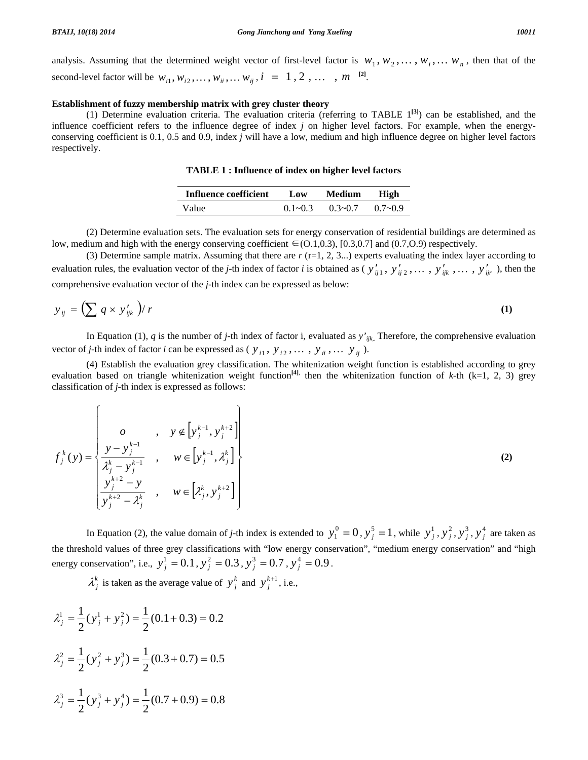analysis. Assuming that the determined weight vector of first-level factor is  $w_1, w_2, \ldots, w_i, \ldots w_n$ , then that of the second-level factor will be  $w_{i1}, w_{i2}, \dots, w_{ii}, \dots w_{ij}, i = 1, 2, \dots, m$  <sup>[2]</sup>.

#### **Establishment of fuzzy membership matrix with grey cluster theory**

 (1) Determine evaluation criteria. The evaluation criteria (referring to TABLE 1**[3]**) can be established, and the influence coefficient refers to the influence degree of index *j* on higher level factors. For example, when the energyconserving coefficient is 0.1, 0.5 and 0.9, index *j* will have a low, medium and high influence degree on higher level factors respectively.

|  |  |  |  |  | <b>TABLE 1: Influence of index on higher level factors</b> |
|--|--|--|--|--|------------------------------------------------------------|
|--|--|--|--|--|------------------------------------------------------------|

| Influence coefficient | Low         | <b>Medium</b> | High        |
|-----------------------|-------------|---------------|-------------|
| Value                 | $0.1 - 0.3$ | $0.3 - 0.7$   | $0.7 - 0.9$ |

 (2) Determine evaluation sets. The evaluation sets for energy conservation of residential buildings are determined as low, medium and high with the energy conserving coefficient  $\in (0.1,0.3)$ , [0.3,0.7] and (0.7,0.9) respectively.

(3) Determine sample matrix. Assuming that there are  $r$  ( $r=1, 2, 3...$ ) experts evaluating the index layer according to evaluation rules, the evaluation vector of the *j*-th index of factor *i* is obtained as ( $y'_{ii1}, y'_{ii2}, \ldots, y'_{iik}, \ldots, y'_{iir}$ ), then the comprehensive evaluation vector of the *j*-th index can be expressed as below:

$$
y_{ij} = \left(\sum q \times y'_{ijk}\right) / r \tag{1}
$$

In Equation (1),  $q$  is the number of *j*-th index of factor i, evaluated as  $y'_{ijk}$ . Therefore, the comprehensive evaluation vector of *j*-th index of factor *i* can be expressed as ( $y_{i1}, y_{i2}, \ldots, y_{ii}, \ldots, y_{ij}$ ).

 (4) Establish the evaluation grey classification. The whitenization weight function is established according to grey evaluation based on triangle whitenization weight function<sup>[4],</sup> then the whitenization function of  $k$ -th (k=1, 2, 3) grey classification of *j*-th index is expressed as follows:

$$
f_j^k(y) = \begin{cases} 0 & , y \notin [y_j^{k-1}, y_j^{k+2}] \\ \frac{y - y_j^{k-1}}{\lambda_j^k - y_j^{k-1}} & , w \in [y_j^{k-1}, \lambda_j^k] \\ \frac{y_j^{k+2} - y}{y_j^{k+2} - \lambda_j^k} & , w \in [\lambda_j^k, y_j^{k+2}] \end{cases}
$$
(2)

 $\mathcal{L}$ 

In Equation (2), the value domain of *j*-th index is extended to  $y_1^0 = 0$ ,  $y_j^5 = 1$ , while  $y_j^1$ ,  $y_j^2$ ,  $y_j^3$ ,  $y_j^4$  are taken as the threshold values of three grey classifications with "low energy conservation", "medium energy conservation" and "high energy conservation", i.e.,  $y_j^1 = 0.1$ ,  $y_j^2 = 0.3$ ,  $y_j^3 = 0.7$ ,  $y_j^4 = 0.9$ .

 $\lambda_j^k$  is taken as the average value of  $y_j^k$  and  $y_j^{k+1}$ , i.e.,

$$
\lambda_j^1 = \frac{1}{2} (y_j^1 + y_j^2) = \frac{1}{2} (0.1 + 0.3) = 0.2
$$
  

$$
\lambda_j^2 = \frac{1}{2} (y_j^2 + y_j^3) = \frac{1}{2} (0.3 + 0.7) = 0.5
$$
  

$$
\lambda_j^3 = \frac{1}{2} (y_j^3 + y_j^4) = \frac{1}{2} (0.7 + 0.9) = 0.8
$$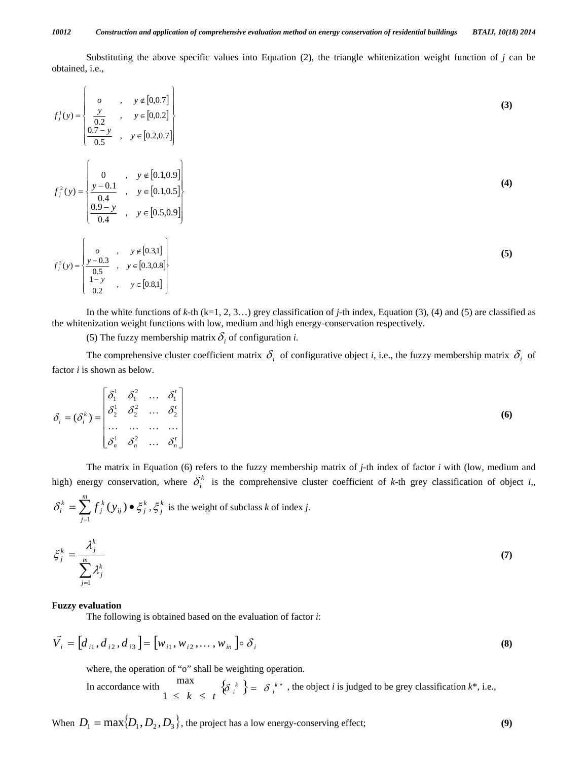Substituting the above specific values into Equation (2), the triangle whitenization weight function of *j* can be obtained, i.e.,

$$
f_j^1(y) = \begin{cases} 0 & , y \notin [0,0.7] \\ \frac{y}{0.2} & , y \in [0,0.2] \\ \frac{0.7 - y}{0.5} & , y \in [0.2,0.7] \end{cases}
$$
 (3)  

$$
f_j^2(y) = \begin{cases} 0 & , y \notin [0.1,0.9] \\ \frac{y - 0.1}{0.4} & , y \in [0.1,0.5] \\ \frac{0.9 - y}{0.4} & , y \in [0.5,0.9] \end{cases}
$$
 (4)  

$$
f_j^3(y) = \begin{cases} 0 & , y \notin [0.3,1] \\ \frac{y - 0.3}{0.5} & , y \in [0.3,0.8] \\ \frac{1 - y}{0.2} & , y \in [0.8,1] \end{cases}
$$
 (5)

 In the white functions of *k*-th (k=1, 2, 3…) grey classification of *j*-th index, Equation (3), (4) and (5) are classified as the whitenization weight functions with low, medium and high energy-conservation respectively.

(5) The fuzzy membership matrix  $\delta_i$  of configuration *i*.

The comprehensive cluster coefficient matrix  $\delta_i$  of configurative object *i*, i.e., the fuzzy membership matrix  $\delta_i$  of factor *i* is shown as below.

$$
\delta_i = (\delta_i^k) = \begin{bmatrix} \delta_1^1 & \delta_1^2 & \dots & \delta_1^t \\ \delta_2^1 & \delta_2^2 & \dots & \delta_2^t \\ \dots & \dots & \dots & \dots \\ \delta_n^1 & \delta_n^2 & \dots & \delta_n^t \end{bmatrix}
$$
 (6)

 The matrix in Equation (6) refers to the fuzzy membership matrix of *j*-th index of factor *i* with (low, medium and high) energy conservation, where  $\delta_i^k$  is the comprehensive cluster coefficient of *k*-th grey classification of object *i*,

$$
\delta_i^k = \sum_{j=1}^m f_j^k(y_{ij}) \bullet \xi_j^k, \xi_j^k \text{ is the weight of subclass } k \text{ of index } j.
$$
  

$$
\xi_j^k = \frac{\lambda_j^k}{\sum_{j=1}^m \lambda_j^k}
$$
 (7)

#### **Fuzzy evaluation**

1

*j*

The following is obtained based on the evaluation of factor *i*:

$$
\vec{V}_i = [d_{i1}, d_{i2}, d_{i3}] = [w_{i1}, w_{i2}, \dots, w_{in}] \circ \delta_i
$$
\n(8)

where, the operation of "o" shall be weighting operation.

In accordance with  $\frac{\max}{1 \leq k \leq t} \left\{ \delta_i^k \right\} = \delta_i^{k*}$ max  $\{\delta^k\} = \delta^{k*}$ , the object *i* is judged to be grey classification  $k^*$ , i.e.,

When  $D_1 = \max\{D_1, D_2, D_3\}$ , the project has a low energy-conserving effect; **(9)**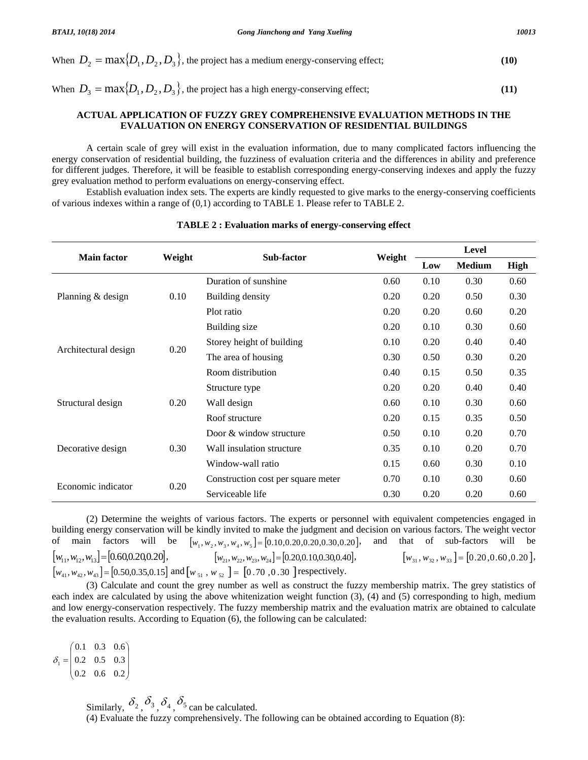When  $D_2 = \max\{D_1, D_2, D_3\}$ , the project has a medium energy-conserving effect; (10) When  $D_3 = \max\{D_1, D_2, D_3\}$ , the project has a high energy-conserving effect; (11)

#### **ACTUAL APPLICATION OF FUZZY GREY COMPREHENSIVE EVALUATION METHODS IN THE EVALUATION ON ENERGY CONSERVATION OF RESIDENTIAL BUILDINGS**

 A certain scale of grey will exist in the evaluation information, due to many complicated factors influencing the energy conservation of residential building, the fuzziness of evaluation criteria and the differences in ability and preference for different judges. Therefore, it will be feasible to establish corresponding energy-conserving indexes and apply the fuzzy grey evaluation method to perform evaluations on energy-conserving effect.

 Establish evaluation index sets. The experts are kindly requested to give marks to the energy-conserving coefficients of various indexes within a range of (0,1) according to TABLE 1. Please refer to TABLE 2.

| <b>Main factor</b>   | Weight | Sub-factor                         |        | Level |               |             |
|----------------------|--------|------------------------------------|--------|-------|---------------|-------------|
|                      |        |                                    | Weight | Low   | <b>Medium</b> | <b>High</b> |
|                      |        | Duration of sunshine               | 0.60   | 0.10  | 0.30          | 0.60        |
| Planning & design    | 0.10   | Building density                   | 0.20   | 0.20  | 0.50          | 0.30        |
|                      |        | Plot ratio                         | 0.20   | 0.20  | 0.60          | 0.20        |
|                      | 0.20   | Building size                      | 0.20   | 0.10  | 0.30          | 0.60        |
|                      |        | Storey height of building          | 0.10   | 0.20  | 0.40          | 0.40        |
| Architectural design |        | The area of housing                | 0.30   | 0.50  | 0.30          | 0.20        |
|                      |        | Room distribution                  | 0.40   | 0.15  | 0.50          | 0.35        |
|                      |        | Structure type                     | 0.20   | 0.20  | 0.40          | 0.40        |
| Structural design    | 0.20   | Wall design                        | 0.60   | 0.10  | 0.30          | 0.60        |
|                      |        | Roof structure                     | 0.20   | 0.15  | 0.35          | 0.50        |
|                      | 0.30   | Door & window structure            | 0.50   | 0.10  | 0.20          | 0.70        |
| Decorative design    |        | Wall insulation structure          | 0.35   | 0.10  | 0.20          | 0.70        |
|                      |        | Window-wall ratio                  | 0.15   | 0.60  | 0.30          | 0.10        |
|                      | 0.20   | Construction cost per square meter | 0.70   | 0.10  | 0.30          | 0.60        |
| Economic indicator   |        | Serviceable life                   | 0.30   | 0.20  | 0.20          | 0.60        |

**TABLE 2 : Evaluation marks of energy-conserving effect** 

 (2) Determine the weights of various factors. The experts or personnel with equivalent competencies engaged in building energy conservation will be kindly invited to make the judgment and decision on various factors. The weight vector of main factors will be  $[w_1, w_2, w_3, w_4, w_5] = [0.10, 0.20, 0.20, 0.30, 0.20]$ , and that of sub-factors will be  $[w_{11}, w_{12}, w_{13}] = [0.60, 0.20, 0.20],$   $[w_{21}, w_{22}, w_{23}, w_{24}] = [0.20, 0.10, 0.30, 0.40],$   $[w_{31}, w_{32}, w_{33}] = [0.20, 0.60, 0.20],$  $[w_{41}, w_{42}, w_{43}] = [0.50, 0.35, 0.15]$  and  $[w_{51}, w_{52}] = [0.70, 0.30]$  *respectively.* 

 (3) Calculate and count the grey number as well as construct the fuzzy membership matrix. The grey statistics of each index are calculated by using the above whitenization weight function (3), (4) and (5) corresponding to high, medium and low energy-conservation respectively. The fuzzy membership matrix and the evaluation matrix are obtained to calculate the evaluation results. According to Equation (6), the following can be calculated:

⎟ ⎟ ⎟ ⎠ ⎞ ⎜ ⎜ ⎜ ⎝ ⎛ = 0.2 0.6 0.2 0.2 0.5 0.3 0.1 0.3 0.6  $\delta_{\rm i}$ 

Similarly,  $\delta_2$ ,  $\delta_3$ ,  $\delta_4$ ,  $\delta_5$  can be calculated. (4) Evaluate the fuzzy comprehensively. The following can be obtained according to Equation (8):